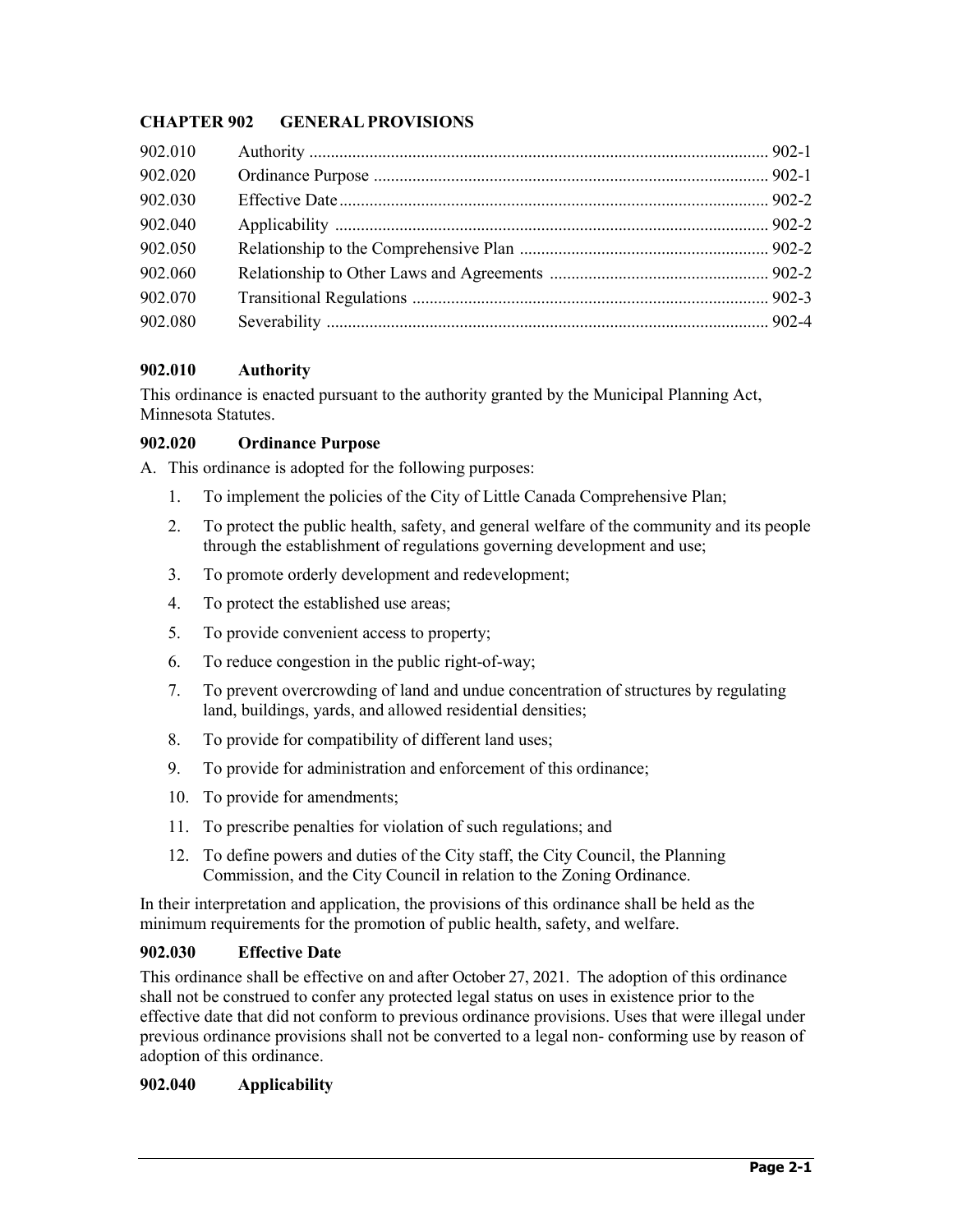# **CHAPTER 902 GENERALPROVISIONS**

| 902.010 |  |
|---------|--|
| 902.020 |  |
| 902.030 |  |
| 902.040 |  |
| 902.050 |  |
| 902.060 |  |
| 902.070 |  |
| 902.080 |  |
|         |  |

## **902.010 Authority**

This ordinance is enacted pursuant to the authority granted by the Municipal Planning Act, Minnesota Statutes.

## **902.020 Ordinance Purpose**

A. This ordinance is adopted for the following purposes:

- 1. To implement the policies of the City of Little Canada Comprehensive Plan;
- 2. To protect the public health, safety, and general welfare of the community and its people through the establishment of regulations governing development and use;
- 3. To promote orderly development and redevelopment;
- 4. To protect the established use areas;
- 5. To provide convenient access to property;
- 6. To reduce congestion in the public right-of-way;
- 7. To prevent overcrowding of land and undue concentration of structures by regulating land, buildings, yards, and allowed residential densities;
- 8. To provide for compatibility of different land uses;
- 9. To provide for administration and enforcement of this ordinance;
- 10. To provide for amendments;
- 11. To prescribe penalties for violation of such regulations; and
- 12. To define powers and duties of the City staff, the City Council, the Planning Commission, and the City Council in relation to the Zoning Ordinance.

In their interpretation and application, the provisions of this ordinance shall be held as the minimum requirements for the promotion of public health, safety, and welfare.

# **902.030 Effective Date**

This ordinance shall be effective on and after October 27, 2021.The adoption of this ordinance shall not be construed to confer any protected legal status on uses in existence prior to the effective date that did not conform to previous ordinance provisions. Uses that were illegal under previous ordinance provisions shall not be converted to a legal non- conforming use by reason of adoption of this ordinance.

# **902.040 Applicability**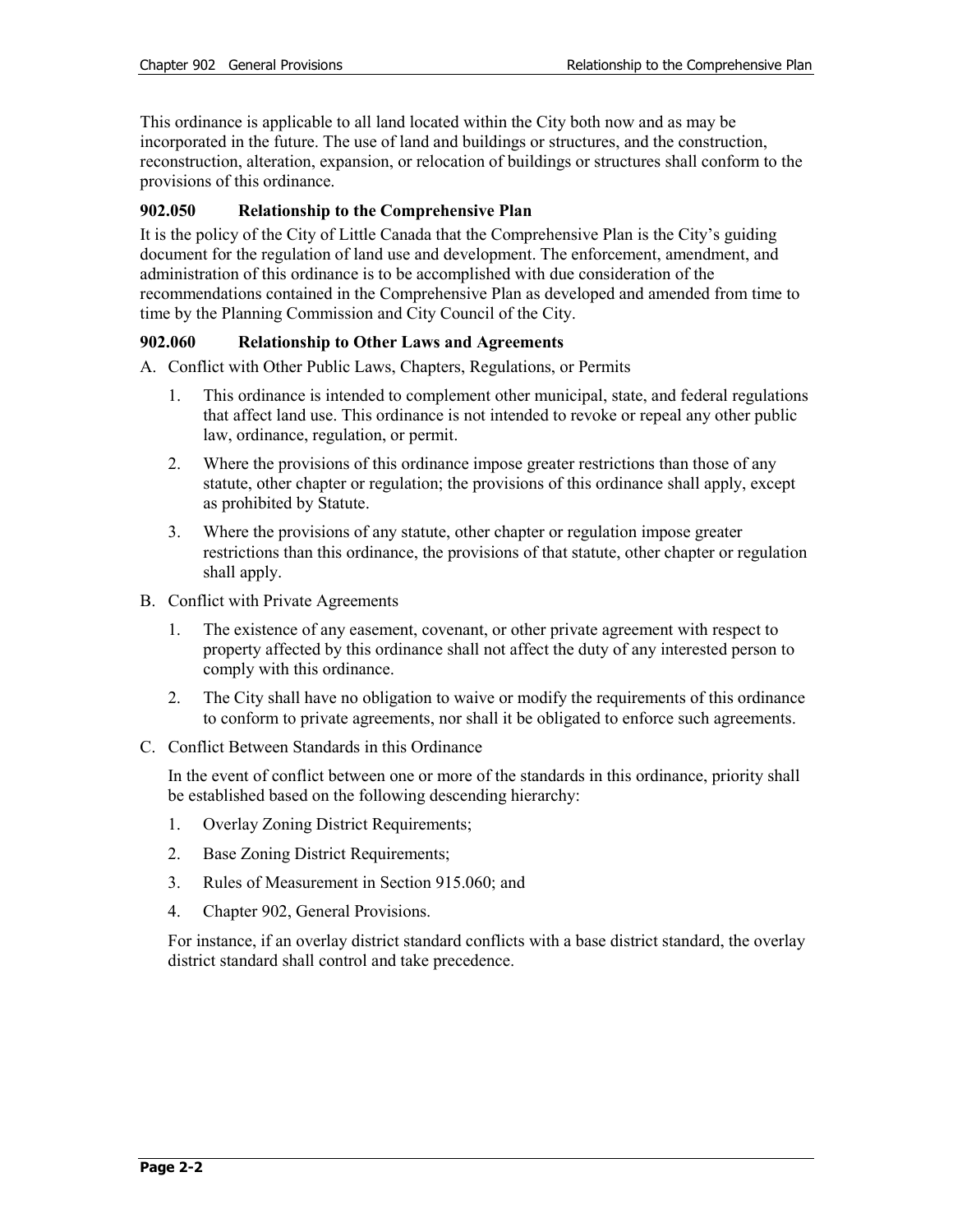This ordinance is applicable to all land located within the City both now and as may be incorporated in the future. The use of land and buildings or structures, and the construction, reconstruction, alteration, expansion, or relocation of buildings or structures shall conform to the provisions of this ordinance.

#### **902.050 Relationship to the Comprehensive Plan**

It is the policy of the City of Little Canada that the Comprehensive Plan is the City's guiding document for the regulation of land use and development. The enforcement, amendment, and administration of this ordinance is to be accomplished with due consideration of the recommendations contained in the Comprehensive Plan as developed and amended from time to time by the Planning Commission and City Council of the City.

## **902.060 Relationship to Other Laws and Agreements**

A. Conflict with Other Public Laws, Chapters, Regulations, or Permits

- 1. This ordinance is intended to complement other municipal, state, and federal regulations that affect land use. This ordinance is not intended to revoke or repeal any other public law, ordinance, regulation, or permit.
- 2. Where the provisions of this ordinance impose greater restrictions than those of any statute, other chapter or regulation; the provisions of this ordinance shall apply, except as prohibited by Statute.
- 3. Where the provisions of any statute, other chapter or regulation impose greater restrictions than this ordinance, the provisions of that statute, other chapter or regulation shall apply.
- B. Conflict with Private Agreements
	- 1. The existence of any easement, covenant, or other private agreement with respect to property affected by this ordinance shall not affect the duty of any interested person to comply with this ordinance.
	- 2. The City shall have no obligation to waive or modify the requirements of this ordinance to conform to private agreements, nor shall it be obligated to enforce such agreements.
- C. Conflict Between Standards in this Ordinance

In the event of conflict between one or more of the standards in this ordinance, priority shall be established based on the following descending hierarchy:

- 1. Overlay Zoning District Requirements;
- 2. Base Zoning District Requirements;
- 3. Rules of Measurement in Section 915.060; and
- 4. Chapter 902, General Provisions.

For instance, if an overlay district standard conflicts with a base district standard, the overlay district standard shall control and take precedence.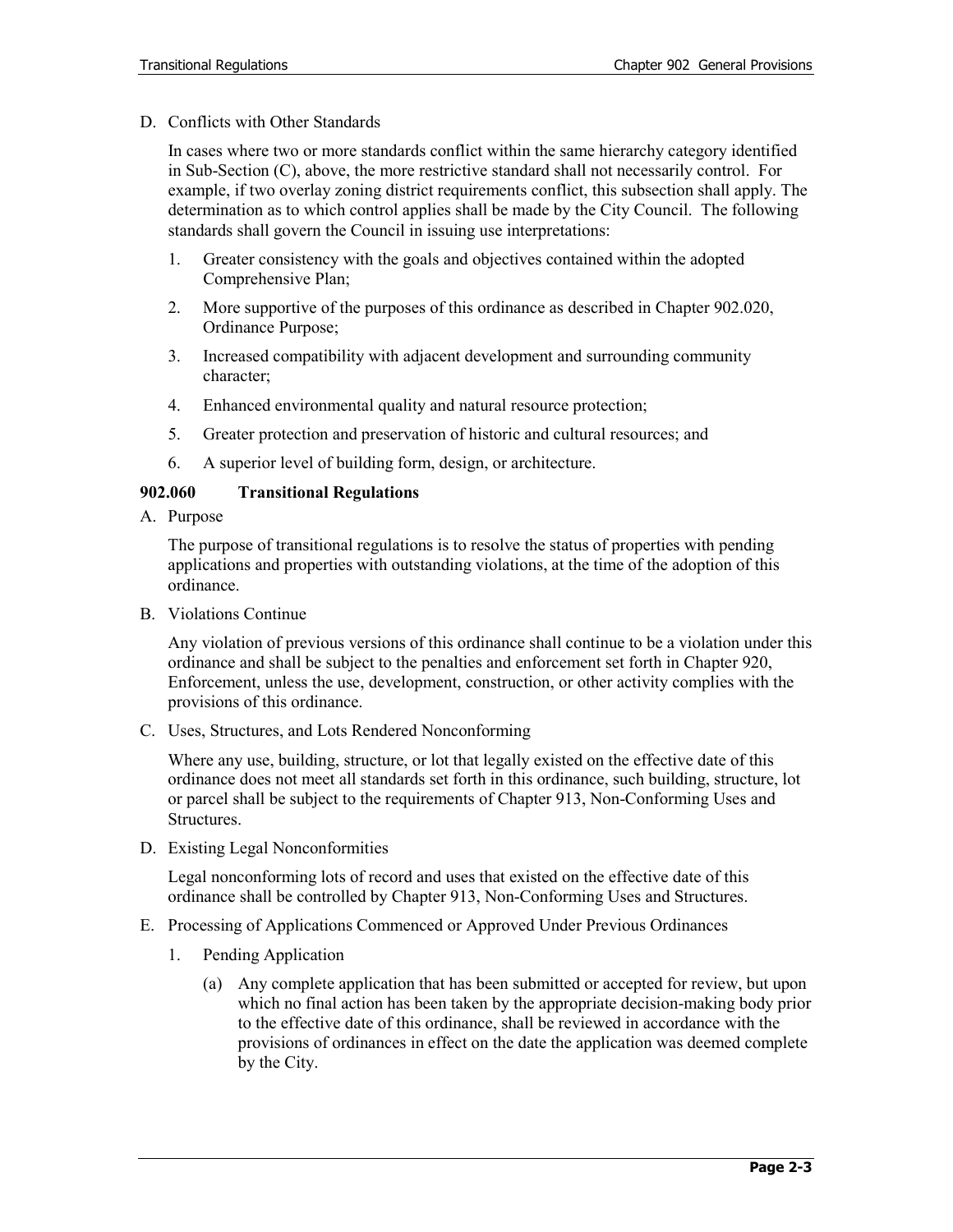D. Conflicts with Other Standards

In cases where two or more standards conflict within the same hierarchy category identified in Sub-Section (C), above, the more restrictive standard shall not necessarily control. For example, if two overlay zoning district requirements conflict, this subsection shall apply. The determination as to which control applies shall be made by the City Council. The following standards shall govern the Council in issuing use interpretations:

- 1. Greater consistency with the goals and objectives contained within the adopted Comprehensive Plan;
- 2. More supportive of the purposes of this ordinance as described in Chapter 902.020, Ordinance Purpose;
- 3. Increased compatibility with adjacent development and surrounding community character;
- 4. Enhanced environmental quality and natural resource protection;
- 5. Greater protection and preservation of historic and cultural resources; and
- 6. A superior level of building form, design, or architecture.

#### **902.060 Transitional Regulations**

A. Purpose

The purpose of transitional regulations is to resolve the status of properties with pending applications and properties with outstanding violations, at the time of the adoption of this ordinance.

B. Violations Continue

Any violation of previous versions of this ordinance shall continue to be a violation under this ordinance and shall be subject to the penalties and enforcement set forth in Chapter 920, Enforcement, unless the use, development, construction, or other activity complies with the provisions of this ordinance.

C. Uses, Structures, and Lots Rendered Nonconforming

Where any use, building, structure, or lot that legally existed on the effective date of this ordinance does not meet all standards set forth in this ordinance, such building, structure, lot or parcel shall be subject to the requirements of Chapter 913, Non-Conforming Uses and Structures.

D. Existing Legal Nonconformities

Legal nonconforming lots of record and uses that existed on the effective date of this ordinance shall be controlled by Chapter 913, Non-Conforming Uses and Structures.

- E. Processing of Applications Commenced or Approved Under Previous Ordinances
	- 1. Pending Application
		- (a) Any complete application that has been submitted or accepted for review, but upon which no final action has been taken by the appropriate decision-making body prior to the effective date of this ordinance, shall be reviewed in accordance with the provisions of ordinances in effect on the date the application was deemed complete by the City.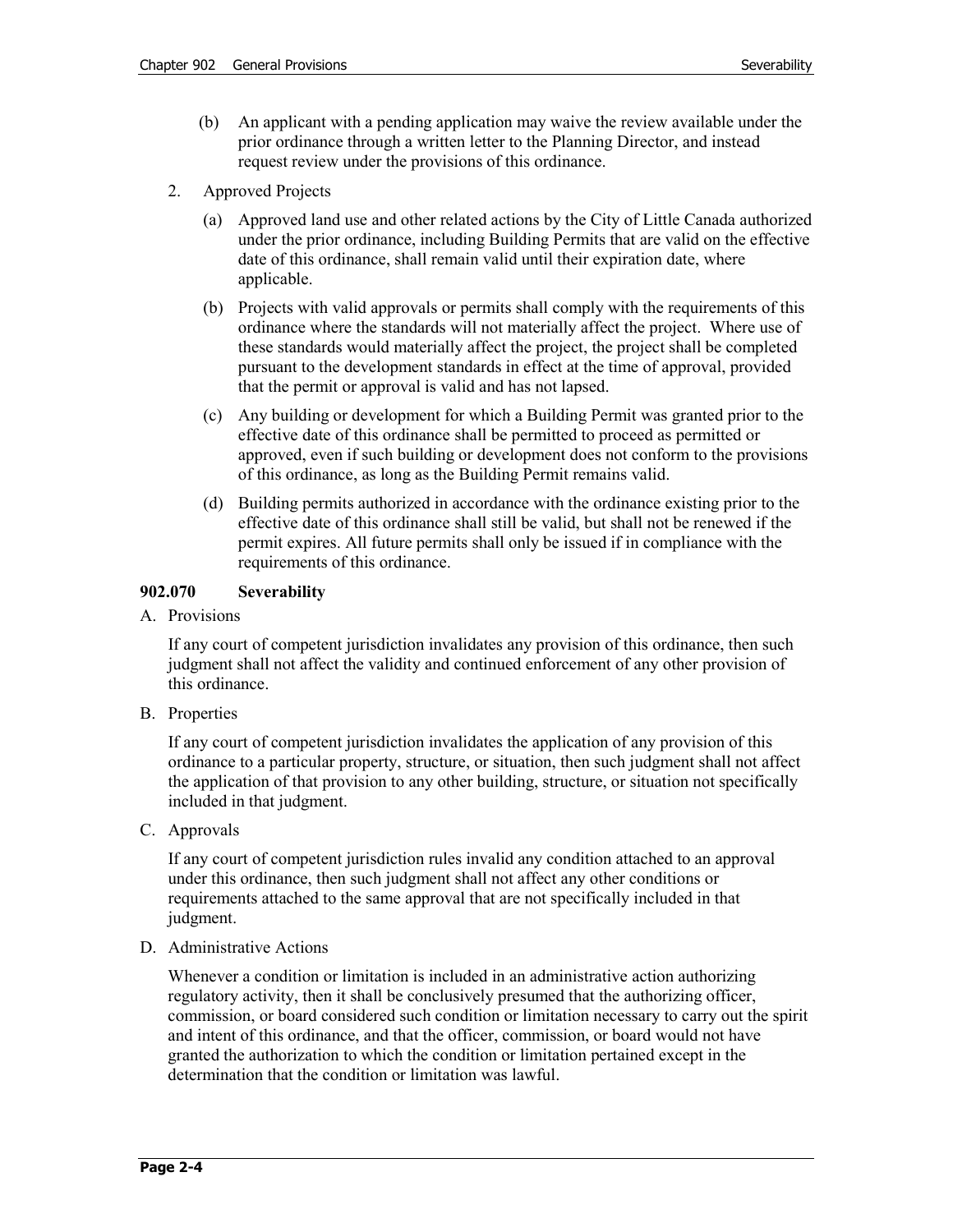- (b) An applicant with a pending application may waive the review available under the prior ordinance through a written letter to the Planning Director, and instead request review under the provisions of this ordinance.
- 2. Approved Projects
	- (a) Approved land use and other related actions by the City of Little Canada authorized under the prior ordinance, including Building Permits that are valid on the effective date of this ordinance, shall remain valid until their expiration date, where applicable.
	- (b) Projects with valid approvals or permits shall comply with the requirements of this ordinance where the standards will not materially affect the project. Where use of these standards would materially affect the project, the project shall be completed pursuant to the development standards in effect at the time of approval, provided that the permit or approval is valid and has not lapsed.
	- (c) Any building or development for which a Building Permit was granted prior to the effective date of this ordinance shall be permitted to proceed as permitted or approved, even if such building or development does not conform to the provisions of this ordinance, as long as the Building Permit remains valid.
	- (d) Building permits authorized in accordance with the ordinance existing prior to the effective date of this ordinance shall still be valid, but shall not be renewed if the permit expires. All future permits shall only be issued if in compliance with the requirements of this ordinance.

#### **902.070 Severability**

A. Provisions

If any court of competent jurisdiction invalidates any provision of this ordinance, then such judgment shall not affect the validity and continued enforcement of any other provision of this ordinance.

B. Properties

If any court of competent jurisdiction invalidates the application of any provision of this ordinance to a particular property, structure, or situation, then such judgment shall not affect the application of that provision to any other building, structure, or situation not specifically included in that judgment.

C. Approvals

If any court of competent jurisdiction rules invalid any condition attached to an approval under this ordinance, then such judgment shall not affect any other conditions or requirements attached to the same approval that are not specifically included in that judgment.

D. Administrative Actions

Whenever a condition or limitation is included in an administrative action authorizing regulatory activity, then it shall be conclusively presumed that the authorizing officer, commission, or board considered such condition or limitation necessary to carry out the spirit and intent of this ordinance, and that the officer, commission, or board would not have granted the authorization to which the condition or limitation pertained except in the determination that the condition or limitation was lawful.